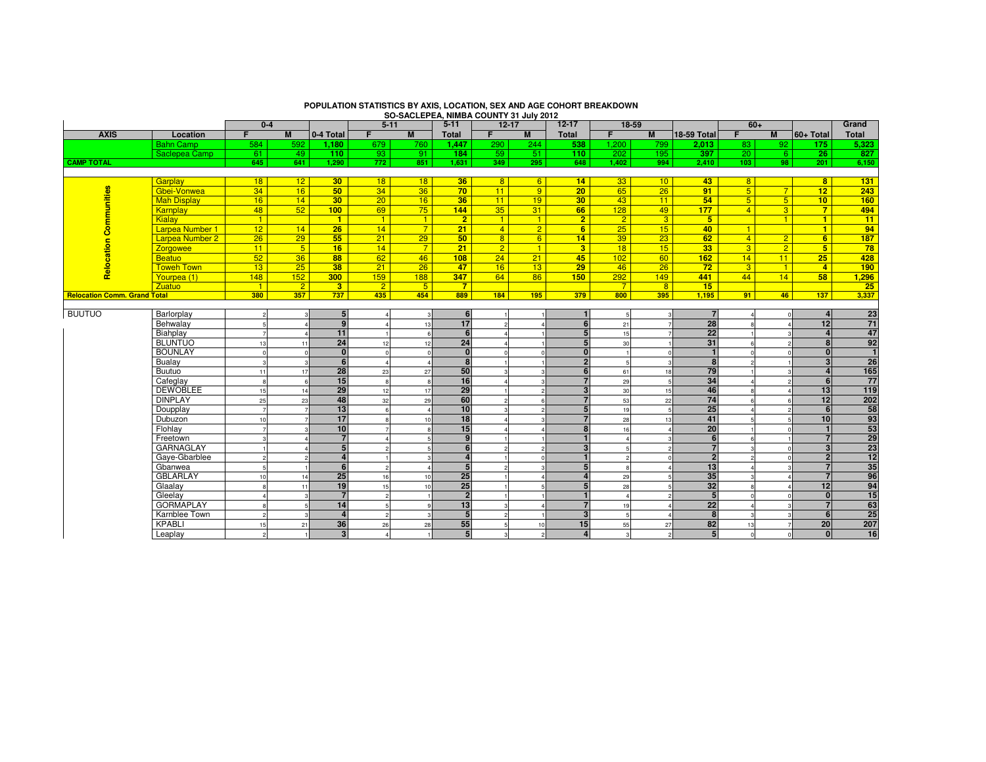|                                     |                        | $0 - 4$                                    |                 |                  | $5 - 11$       |                |                  | SU-SACLEPEA, NIMBA COUNTY 31 JUIN 2012<br>$5 - 11$<br>$12 - 17$ |                          |                  | $12 - 17$<br>$18 - 59$ |                |                    |                  | $60+$          |                      |                 |
|-------------------------------------|------------------------|--------------------------------------------|-----------------|------------------|----------------|----------------|------------------|-----------------------------------------------------------------|--------------------------|------------------|------------------------|----------------|--------------------|------------------|----------------|----------------------|-----------------|
| <b>AXIS</b>                         | Location               | F.                                         | <b>M</b>        | 0-4 Total        | F.             | M              | <b>Total</b>     | F                                                               | M                        | <b>Total</b>     | F.                     | M              | <b>18-59 Total</b> | F                | M              | $ 60+ \text{Total} $ | Grand<br>Total  |
|                                     | <b>Bahn Camp</b>       | 584                                        | 592             | 1.180            | 679            | 760            | 1.447            | 290                                                             | 244                      | 538              | 1.200                  | 799            | 2.013              | 83               | 92             | 175                  | 5.323           |
|                                     | Saclepea Camp          | 61                                         | 49              | 110              | 93             | 91             | 184              | 59                                                              | 51                       | 110              | 202                    | 195            | 397                | 20 <sup>1</sup>  | 6 <sup>°</sup> | 26                   | 827             |
| <b>CAMP TOTAL</b>                   |                        | 645                                        | 641             | 1,290            | 772            | 851            | 1,631            | 349                                                             | 295                      | 648              | 1,402                  | 994            | 2,410              | 103 <sub>1</sub> | 98             | 201                  | 6,150           |
|                                     |                        |                                            |                 |                  |                |                |                  |                                                                 |                          |                  |                        |                |                    |                  |                |                      |                 |
| <b>Communities</b>                  | Garplay                | 18                                         | 12 <sup>2</sup> | 30 <sub>2</sub>  | 18             | 18             | 36               | 8                                                               | $6^{\circ}$              | 14               | 33 <sup>°</sup>        | 10             | 43                 | 8 <sup>2</sup>   |                | 8 <sup>1</sup>       | 131             |
|                                     | Gbei-Vonwea            | 34                                         | 16              | 50               | 34             | 36             | 70               | 11                                                              | $\overline{9}$           | 20 <sub>2</sub>  | 65                     | 26             | 91                 | 5 <sub>5</sub>   | 7 <sup>1</sup> | 12 <sub>2</sub>      | 243             |
|                                     | <b>Mah Display</b>     | 16                                         | 14              | 30               | 20             | 16             | 36               | 11                                                              | 19                       | 30               | 43                     | 11             | 54                 | 5 <sup>5</sup>   | 5 <sup>1</sup> | 10                   | 160             |
|                                     | Karnplay               | 48                                         | 52              | 100              | 69             | 75             | 144              | 35                                                              | 31                       | 66               | 128                    | 49             | 177                | $\overline{4}$   | $\overline{3}$ | $\overline{7}$       | 494             |
|                                     | Kialay                 | $\vert 1 \vert$                            |                 | $\blacksquare$   | $\vert$ 1      | $\mathbf{1}$   | $\overline{2}$   | $\blacksquare$                                                  | $\vert$ 1                | $\overline{2}$   | $\overline{2}$         | 3 <sup>5</sup> | 5 <sub>5</sub>     |                  | 1              | $\blacksquare$       | 11              |
|                                     | Larpea Number 1        | 12                                         | 14              | 26               | 14             | $7^{\circ}$    | 21               | $\overline{4}$                                                  | $\overline{2}$           | 6                | 25                     | 15             | 40 <sup>°</sup>    | $\mathbf{1}$     |                | $\blacksquare$       | 94              |
|                                     | <b>Larpea Number 2</b> | 26                                         | 29              | 55               | 21             | 29             | 50               | 8 <sup>°</sup>                                                  | 6                        | 14               | 39                     | 23             | 62                 | $\overline{4}$   | $\overline{2}$ | 6                    | 187             |
|                                     | <b>Zorgowee</b>        | 11                                         | 5 <sup>5</sup>  | 16               | 14             | $7^{\circ}$    | 21               | $\overline{2}$                                                  | $\vert$ 1                | 3 <sup>2</sup>   | 18                     | 15             | 33 <sup>7</sup>    | $\overline{3}$   | $\overline{2}$ | 5 <sup>5</sup>       | 78              |
|                                     | Beatuo                 | 52                                         | 36              | 88               | 62             | 46             | 108              | 24                                                              | 21                       | 45               | 102                    | 60             | 162                | 14               | 11             | 25                   | 428             |
| Relocation                          | <b>Toweh Town</b>      | 13                                         | 25              | 38               | 21             | 26             | 47               | 16                                                              | 13                       | 29               | 46                     | 26             | 72                 | 3                | 1              | $\overline{4}$       | 190             |
|                                     | Yourpea (1)            | 148                                        | 152             | 300              | 159            | 188            | 347              | 64                                                              | 86                       | 150 <sub>1</sub> | 292                    | 149            | 441                | 44               | 14             | 58                   | 1,296           |
|                                     | <b>Zuatuo</b>          | $-1$                                       | 2 <sup>2</sup>  | 3 <sup>2</sup>   | $\overline{2}$ | 5 <sup>5</sup> | $\overline{7}$   |                                                                 |                          |                  | $\overline{7}$         | 8 <sup>2</sup> | 15                 |                  |                |                      | 25              |
| <b>Relocation Comm. Grand Total</b> |                        | 380                                        | 357             | 737              | 435            | 454            | 889              | 184                                                             | 195                      | 379              | 800                    | 395            | 1.195              | 91               | 46             | 137                  | 3,337           |
| <b>BUUTUO</b>                       |                        |                                            |                 | 5 <sub>5</sub>   |                |                | $6 \overline{6}$ |                                                                 |                          |                  |                        |                | $\overline{7}$     |                  |                | $\overline{a}$       | 23              |
|                                     | Barlorplay<br>Behwalay | $\overline{\phantom{a}}$<br>$\overline{5}$ |                 | $\mathbf{q}$     |                |                | 17               | ø                                                               | $\Delta$                 | 6                |                        |                | 28                 |                  | $\Omega$       | 12                   | 71              |
|                                     | Biahplay               |                                            |                 | 11               |                | 13             | 6                |                                                                 |                          | 5 <sup>5</sup>   | 21<br>15               |                | 22                 |                  | $\mathcal{R}$  | $\mathbf{A}$         | 47              |
|                                     | <b>BLUNTUO</b>         | 13                                         | 11              | 24               | 12             | 12             | 24               |                                                                 |                          | 5 <sub>5</sub>   | 30                     |                | 31                 |                  | $\overline{2}$ | 8                    | 92              |
|                                     | <b>BOUNLAY</b>         | $\Omega$                                   | $\Omega$        | $\Omega$         |                |                | $\Omega$         |                                                                 | $\Omega$                 | $\Omega$         |                        |                | $\blacksquare$     |                  | $\Omega$       | $\mathbf{0}$         | $\mathbf{1}$    |
|                                     | Bualay                 |                                            |                 | $6 \overline{6}$ |                |                | 8                |                                                                 |                          | 2 <sup>1</sup>   |                        |                | 8                  |                  |                | $\overline{3}$       | $\overline{26}$ |
|                                     | Buutuo                 | 11                                         | 17              | 28               | 23             | 27             | 50               |                                                                 |                          | 6                | 61                     | 18             | 79                 |                  |                | $\overline{a}$       | 165             |
|                                     | Cafeglay               | $\mathbf{g}$                               | $6\overline{6}$ | 15               |                | $\mathbf{R}$   | $\overline{16}$  |                                                                 | 3                        | $\overline{7}$   | 29                     |                | 34                 |                  |                | 6                    | 77              |
|                                     | <b>DEWOBLEE</b>        | 15                                         | 14              | 29               | 12             | 17             | 29               |                                                                 | $\overline{c}$           | 3                | 30                     | 15             | 46                 |                  |                | 13                   | 119             |
|                                     | <b>DINPLAY</b>         | 25                                         | 23              | 48               | 32             | 29             | 60               |                                                                 | 6                        | $\overline{7}$   | 53                     | 22             | 74                 |                  | 6              | 12                   | 202             |
|                                     | Doupplay               |                                            |                 | 13               |                |                | 10               |                                                                 | $\overline{a}$           | 5                | 19                     |                | 25                 |                  |                | 6                    | 58              |
|                                     | Dubuzon                | 10                                         |                 | 17               |                | 10             | 18               |                                                                 | 3                        | $\overline{7}$   | 28                     | 13             | 41                 |                  |                | 10                   | 93              |
|                                     | Flohlay                | $\overline{7}$                             |                 | 10               |                |                | 15               |                                                                 |                          | 8                | 16                     |                | 20                 |                  | $\Omega$       | $\mathbf{1}$         | 53              |
|                                     | Freetown               | $\mathbf{\hat{z}}$                         |                 | $\overline{7}$   |                |                | $\mathbf{q}$     |                                                                 |                          |                  |                        |                | 6                  |                  |                | $\overline{7}$       | 29              |
|                                     | <b>GARNAGLAY</b>       |                                            |                 | 5 <sub>5</sub>   |                |                | $6 \overline{6}$ |                                                                 | $\overline{\phantom{a}}$ | $\overline{3}$   |                        |                | $\overline{7}$     |                  | $\Omega$       | 3 <sup>1</sup>       | 23              |
|                                     | Gave-Gbarblee          | $\overline{2}$                             | $\mathfrak{p}$  |                  |                |                | $\overline{a}$   |                                                                 | $\mathbf 0$              | $\blacksquare$   |                        |                | $\overline{2}$     |                  | $\Omega$       | $\overline{2}$       | $\overline{12}$ |
|                                     | Gbanwea                |                                            |                 |                  |                |                |                  |                                                                 |                          | 5                |                        |                | 13                 |                  |                |                      | 35              |
|                                     | <b>GBLARLAY</b>        | 10                                         | 14              | 25               | 16             | 10             | 25               |                                                                 |                          | $\overline{a}$   | 29                     |                | 35                 |                  |                | $\overline{7}$       | 96              |
|                                     | Glaalav                | 8                                          | 11              | 19               | 15             | 10             | 25               |                                                                 |                          | 5                | 28                     |                | 32                 |                  |                | 12                   | 94              |
|                                     | Gleelay                |                                            | 3               |                  |                |                | $\overline{2}$   |                                                                 |                          |                  |                        |                | 5                  |                  |                | $\overline{0}$       | $\overline{15}$ |
|                                     | <b>GORMAPLAY</b>       |                                            | $\sqrt{2}$      | 14               |                |                | 13               |                                                                 |                          | $\overline{7}$   | 19                     |                | 22                 |                  |                | $\overline{7}$       | 63              |
|                                     | Karnblee Town          | $\overline{c}$                             | 3               |                  |                |                | 5                |                                                                 |                          | 3 <sup>1</sup>   |                        |                | 8                  |                  | $\mathbf{3}$   | 6 <sup>1</sup>       | 25              |
|                                     | <b>KPABLI</b>          | 15                                         | 21              | 36               | 26             | 28             | 55               |                                                                 | 10                       | 15               | 55                     | 27             | 82                 | 13               |                | 20                   | 207             |
|                                     | Leaplay                | $\overline{2}$                             |                 | 3 <sup>1</sup>   |                |                | 5                |                                                                 | $\overline{c}$           | $\overline{4}$   |                        |                | 5 <sub>l</sub>     | $\Omega$         | $\Omega$       | 0                    | 16              |

## **POPULATION STATISTICS BY AXIS, LOCATION, SEX AND AGE COHORT BREAKDOWN SO-SACLEPEA, NIMBA COUNTY 31 July 2012**